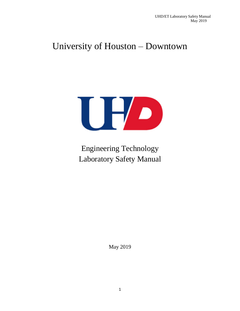# University of Houston – Downtown



Engineering Technology Laboratory Safety Manual

May 2019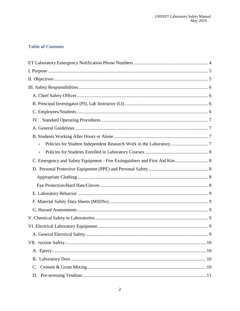## **Table of Contents**

| $\bullet$                                                                   |  |
|-----------------------------------------------------------------------------|--|
| $\bullet$                                                                   |  |
| C. Emergency and Safety Equipment - Fire Extinguishers and First Aid Kits 8 |  |
|                                                                             |  |
|                                                                             |  |
|                                                                             |  |
|                                                                             |  |
|                                                                             |  |
|                                                                             |  |
|                                                                             |  |
|                                                                             |  |
|                                                                             |  |
|                                                                             |  |
|                                                                             |  |
|                                                                             |  |
| C.                                                                          |  |
| D.                                                                          |  |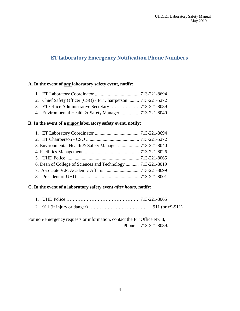## <span id="page-3-0"></span>**ET Laboratory Emergency Notification Phone Numbers**

#### **A. In the event of** *any* **laboratory safety event, notify:**

| 2. Chief Safety Officer (CSO) - ET Chairperson  713-221-5272 |  |
|--------------------------------------------------------------|--|

- 3. ET Office Administrative Secretary ………………. 713-221-8089
- 4. Environmental Health & Safety Manager ................ 713-221-8040

#### **B. In the event of a** *major* **laboratory safety event, notify:**

| 6. Dean of College of Sciences and Technology  713-221-8019 |  |
|-------------------------------------------------------------|--|
|                                                             |  |
|                                                             |  |

#### **C. In the event of a laboratory safety event** *after hours***, notify:**

- 1. UHD Police ………………………………………. 713-221-8065
- 2. 911 (if injury or danger) ……………………………… 911 (or x9-911)

For non-emergency requests or information, contact the ET Office N738, Phone: 713-221-8089.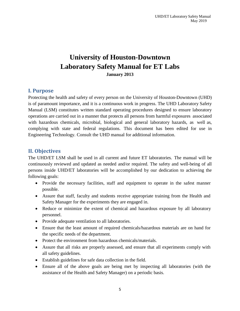## **University of Houston-Downtown Laboratory Safety Manual for ET Labs January 2013**

### <span id="page-4-0"></span>**I. Purpose**

Protecting the health and safety of every person on the University of Houston-Downtown (UHD) is of paramount importance, and it is a continuous work in progress. The UHD Laboratory Safety Manual (LSM) constitutes written standard operating procedures designed to ensure laboratory operations are carried out in a manner that protects all persons from harmful exposures associated with hazardous chemicals, microbial, biological and general laboratory hazards, as well as, complying with state and federal regulations. This document has been edited for use in Engineering Technology. Consult the UHD manual for additional information.

## <span id="page-4-1"></span>**II. Objectives**

The UHD/ET LSM shall be used in all current and future ET laboratories. The manual will be continuously reviewed and updated as needed and/or required. The safety and well-being of all persons inside UHD/ET laboratories will be accomplished by our dedication to achieving the following goals:

- Provide the necessary facilities, staff and equipment to operate in the safest manner possible.
- Assure that staff, faculty and students receive appropriate training from the Health and Safety Manager for the experiments they are engaged in.
- Reduce or minimize the extent of chemical and hazardous exposure by all laboratory personnel.
- Provide adequate ventilation to all laboratories.
- Ensure that the least amount of required chemicals/hazardous materials are on hand for the specific needs of the department.
- Protect the environment from hazardous chemicals/materials.
- Assure that all risks are properly assessed, and ensure that all experiments comply with all safety guidelines.
- Establish guidelines for safe data collection in the field.
- Ensure all of the above goals are being met by inspecting all laboratories (with the assistance of the Health and Safety Manager) on a periodic basis.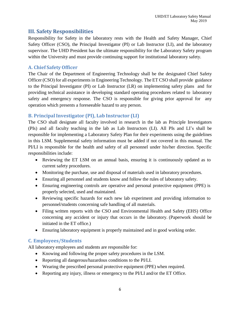## <span id="page-5-0"></span>**III. Safety Responsibilities**

Responsibility for Safety in the laboratory rests with the Health and Safety Manager, Chief Safety Officer (CSO), the Principal Investigator (PI) or Lab Instructor (LI), and the laboratory supervisor. The UHD President has the ultimate responsibility for the Laboratory Safety program within the University and must provide continuing support for institutional laboratory safety.

#### <span id="page-5-1"></span>**A. Chief SafetyOfficer**

The Chair of the Department of Engineering Technology shall be the designated Chief Safety Officer (CSO) for all experiments in Engineering Technology. The ET CSO shall provide guidance to the Principal Investigator (PI) or Lab Instructor (LR) on implementing safety plans and for providing technical assistance in developing standard operating procedures related to laboratory safety and emergency response. The CSO is responsible for giving prior approval for any operation which presents a foreseeable hazard to any person.

#### <span id="page-5-2"></span>**B. PrincipalInvestigator (PI), Lab Instructor (LI)**

The CSO shall designate all faculty involved in research in the lab as Principle Investigators (PIs) and all faculty teaching in the lab as Lab Instructors (LI). All PIs and LI's shall be responsible for implementing a Laboratory Safety Plan for their experiments using the guidelines in this LSM. Supplemental safety information must be added if not covered in this manual. The PI/LI is responsible for the health and safety of all personnel under his/her direction. Specific responsibilities include:

- Reviewing the ET LSM on an annual basis, ensuring it is continuously updated as to current safety procedures.
- Monitoring the purchase, use and disposal of materials used in laboratory procedures.
- Ensuring all personnel and students know and follow the rules of laboratory safety.
- Ensuring engineering controls are operative and personal protective equipment (PPE) is properly selected, used and maintained.
- Reviewing specific hazards for each new lab experiment and providing information to personnel/students concerning safe handling of all materials.
- Filing written reports with the CSO and Environmental Health and Safety (EHS) Office concerning any accident or injury that occurs in the laboratory. (Paperwork should be initiated in the ET office.)
- Ensuring laboratory equipment is properly maintained and in good working order.

#### <span id="page-5-3"></span>**C. Employees/Students**

All laboratory employees and students are responsible for:

- Knowing and following the proper safety procedures in the LSM.
- Reporting all dangerous/hazardous conditions to the PI/LI.
- Wearing the prescribed personal protective equipment (PPE) when required.
- Reporting any injury, illness or emergency to the PI/LI and/or the ET Office.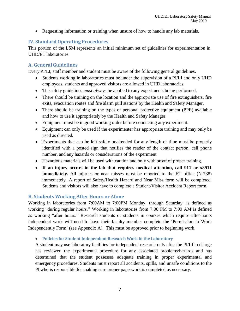Requesting information or training when unsure of how to handle any lab materials.

## <span id="page-6-0"></span>**IV. StandardOperating Procedures**

This portion of the LSM represents an initial minimum set of guidelines for experimentation in UHD/ET laboratories.

## <span id="page-6-1"></span>**A. GeneralGuidelines**

Every PI/LI, staff member and student must be aware of the following general guidelines.

- Students working in laboratories must be under the supervision of a PI/LI and only UHD employees, students and approved visitors are allowed in UHD laboratories.
- The safety guidelines *must always* be applied to any experiments being performed.
- There should be training on the location and the appropriate use of fire extinguishers, fire exits, evacuation routes and fire alarm pull stations by the Health and Safety Manager.
- There should be training on the types of personal protective equipment (PPE) available and how to use it appropriately by the Health and Safety Manager.
- Equipment must be in good working order before conducting any experiment.
- Equipment can only be used if the experimenter has appropriate training and may only be used as directed.
- Experiments that can be left safely unattended for any length of time must be properly identified with a posted sign that notifies the reader of the contact person, cell phone number, and any hazards or considerations of the experiment.
- Hazardous materials will be used with caution and only with proof of proper training.
- **If an injury occurs in the lab that requires medical attention, call 911 or x8911 immediately.** All injuries or near misses must be reported to the ET office (N-738) immediately. A report of Safety/Health Hazard and Near Miss form will be completed. Students and visitors will also have to complete a Student/Visitor Accident Report form.

#### <span id="page-6-2"></span>**B. Students Working After Hours or Alone**

Working in laboratories from 7:00AM to 7:00PM Monday through Saturday is defined as working "during regular hours." Working in laboratories from 7:00 PM to 7:00 AM is defined as working "after hours." Research students or students in courses which require after-hours independent work will need to have their faculty member complete the 'Permission to Work Independently Form' (see Appendix A). This must be approved prior to beginning work.

<span id="page-6-3"></span>**Policies for Student Independent Research Work in the Laboratory**

A student may use laboratory facilities for independent research only after the PI/LI in charge has reviewed the experimental procedure for any associated problems/hazards and has determined that the student possesses adequate training in proper experimental and emergency procedures. Students must report all accidents, spills, and unsafe conditions to the PI who is responsible for making sure proper paperwork is completed as necessary.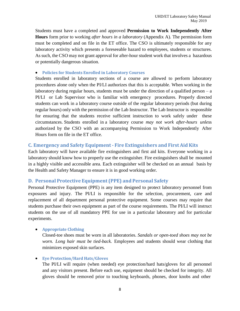Students must have a completed and approved **Permission to Work Independently After Hours** form prior to working *after hours in a laboratory* (Appendix A). The permission form must be completed and on file in the ET office. The CSO is ultimately responsible for any laboratory activity which presents a foreseeable hazard to employees, students or structures. As such, the CSO may not grant approval for after-hour student work that involves a hazardous or potentially dangerous situation.

#### <span id="page-7-0"></span>**Policies for Students Enrolled in Laboratory Courses**

Students enrolled in laboratory sections of a course are allowed to perform laboratory procedures alone only when the PI/LI authorizes that this is acceptable. When working in the laboratory during regular hours, students must be under the direction of a qualified person  $-a$ PI/LI or Lab Supervisor who is familiar with emergency procedures. Properly directed students can work in a laboratory course outside of the regular laboratory periods (but during regular hours) only with the permission of the Lab Instructor. The Lab Instructor is responsible for ensuring that the students receive sufficient instruction to work safely under these circumstances. Students enrolled in a laboratory course *may not work after-hours unles*s authorized by the CSO with an accompanying Permission to Work Independently After Hours form on file in the ET office.

#### <span id="page-7-1"></span>**C. Emergency and Safety Equipment - Fire Extinguishers and First Aid Kits**

Each laboratory will have available fire extinguishers and first aid kits. Everyone working in a laboratory should know how to properly use the extinguisher. Fire extinguishers shall be mounted in a highly visible and accessible area. Each extinguisher will be checked on an annual basis by the Health and Safety Manager to ensure it is in good working order.

#### <span id="page-7-2"></span>**D. Personal Protective Equipment (PPE) and Personal Safety**

Personal Protective Equipment (PPE) is any item designed to protect laboratory personnel from exposures and injury. The PI/LI is responsible for the selection, procurement, care and replacement of all department personal protective equipment. Some courses may require that students purchase their own equipment as part of the course requirements. The PI/LI will instruct students on the use of all mandatory PPE for use in a particular laboratory and for particular experiments.

#### <span id="page-7-3"></span>**Appropriate Clothing**

Closed-toe shoes must be worn in all laboratories. *Sandals or open-toed shoes may not be worn. Long hair must be tied-back.* Employees and students should wear clothing that minimizes exposed skin surfaces.

#### <span id="page-7-4"></span>**Eye Protection/Hard Hats/Gloves**

The PI/LI will require (when needed) eye protection/hard hats/gloves for all personnel and any visitors present. Before each use, equipment should be checked for integrity. All gloves should be removed prior to touching keyboards, phones, door knobs and other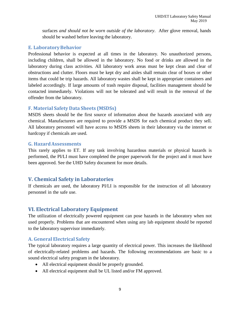surfaces *and should not be worn outside of the laboratory*. After glove removal, hands should be washed before leaving the laboratory.

#### <span id="page-8-0"></span>**E. LaboratoryBehavior**

Professional behavior is expected at all times in the laboratory. No unauthorized persons, including children, shall be allowed in the laboratory. No food or drinks are allowed in the laboratory during class activities. All laboratory work areas must be kept clean and clear of obstructions and clutter. Floors must be kept dry and aisles shall remain clear of boxes or other items that could be trip hazards. All laboratory wastes shall be kept in appropriate containers and labeled accordingly. If large amounts of trash require disposal, facilities management should be contacted immediately. Violations will not be tolerated and will result in the removal of the offender from the laboratory.

#### <span id="page-8-1"></span>**F. Material Safety Data Sheets (MSDSs)**

MSDS sheets should be the first source of information about the hazards associated with any chemical. Manufacturers are required to provide a MSDS for each chemical product they sell. All laboratory personnel will have access to MSDS sheets in their laboratory via the internet or hardcopy if chemicals are used.

#### <span id="page-8-2"></span>**G. HazardAssessments**

This rarely applies to ET. If any task involving hazardous materials or physical hazards is performed, the PI/LI must have completed the proper paperwork for the project and it must have been approved. See the UHD Safety document for more details.

## <span id="page-8-3"></span>**V. Chemical Safety in Laboratories**

If chemicals are used, the laboratory PI/LI is responsible for the instruction of all laboratory personnel in the safe use.

## <span id="page-8-4"></span>**VI. Electrical Laboratory Equipment**

The utilization of electrically powered equipment can pose hazards in the laboratory when not used properly. Problems that are encountered when using any lab equipment should be reported to the laboratory supervisor immediately.

#### <span id="page-8-5"></span>**A. General Electrical Safety**

The typical laboratory requires a large quantity of electrical power. This increases the likelihood of electrically-related problems and hazards. The following recommendations are basic to a sound electrical safety program in the laboratory.

- All electrical equipment should be properly grounded.
- All electrical equipment shall be UL listed and/or FM approved.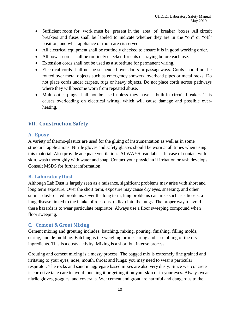- Sufficient room for work must be present in the area of breaker boxes. All circuit breakers and fuses shall be labeled to indicate whether they are in the "on" or "off" position, and what appliance or room area is served.
- All electrical equipment shall be routinely checked to ensure it is in good working order.
- All power cords shall be routinely checked for cuts or fraying before each use.
- Extension cords shall not be used as a substitute for permanent wiring.
- Electrical cords shall not be suspended over doors or passageways. Cords should not be routed over metal objects such as emergency showers, overhead pipes or metal racks. Do not place cords under carpets, rugs or heavy objects. Do not place cords across pathways where they will become worn from repeated abuse.
- Multi-outlet plugs shall not be used unless they have a built-in circuit breaker. This causes overloading on electrical wiring, which will cause damage and possible overheating.

## <span id="page-9-0"></span>**VII. Construction Safety**

#### <span id="page-9-1"></span>**A. Epoxy**

A variety of thermo-plastics are used for the gluing of instrumentation as well as in some structural applications. Nitrile gloves and safety glasses should be worn at all times when using this material. Also provide adequate ventilation. ALWAYS read labels. In case of contact with skin, wash thoroughly with water and soap. Contact your physician if irritation or rash develops. Consult MSDS for further information.

#### <span id="page-9-2"></span>**B. LaboratoryDust**

Although Lab Dust is largely seen as a nuisance, significant problems may arise with short and long term exposure. Over the short term, exposure may cause dry eyes, sneezing, and other similar dust-related problems. Over the long term, lung problems can arise such as silicosis, a lung disease linked to the intake of rock dust (silica) into the lungs. The proper way to avoid these hazards is to wear particulate respirator. Always use a floor sweeping compound when floor sweeping.

#### <span id="page-9-3"></span>**C. Cement & Grout Mixing**

Cement mixing and grouting includes: batching, mixing, pouring, finishing, filling molds, curing, and de-molding. Batching is the weighing or measuring and assembling of the dry ingredients. This is a dusty activity. Mixing is a short but intense process.

Grouting and cement mixing is a messy process. The bagged mix is extremely fine grained and irritating to your eyes, nose, mouth, throat and lungs; you may need to wear a particular respirator. The rocks and sand in aggregate based mixes are also very dusty. Since wet concrete is corrosive take care to avoid touching it or getting it on your skin or in your eyes. Always wear nitrile gloves, goggles, and coveralls. Wet cement and grout are harmful and dangerous to the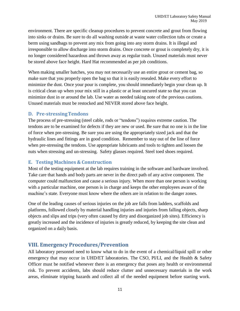environment. There are specific cleanup procedures to prevent concrete and grout from flowing into sinks or drains. Be sure to do all washing outside at waste water collection tubs or create a berm using sandbags to prevent any mix from going into any storm drains. It is illegal and irresponsible to allow discharge into storm drains. Once concrete or grout is completely dry, it is no longer considered hazardous and thrown away as regular trash. Unused materials must never be stored above face height. Hard Hat recommended as per job conditions.

When making smaller batches, you may not necessarily use an entire grout or cement bag, so make sure that you properly open the bag so that it is easily resealed. Make every effort to minimize the dust. Once your pour is complete, you should immediately begin your clean up. It is critical clean up when your mix still in a plastic or at least uncured state so that you can minimize dust in or around the lab. Use water as needed taking note of the previous cautions. Unused materials must be restocked and NEVER stored above face height.

#### <span id="page-10-0"></span>**D. Pre-stressingTendons**

The process of pre-stressing (steel cable, rods or "tendons") requires extreme caution. The tendons are to be examined for defects if they are new or used. Be sure that no one is in the line of force when pre-stressing. Be sure you are using the appropriately sized jack and that the hydraulic lines and fittings are in good condition. Remember to stay out of the line of force when pre-stressing the tendons. Use appropriate lubricants and tools to tighten and loosen the nuts when stressing and un-stressing. Safety glasses required. Steel toed shoes required.

#### <span id="page-10-1"></span>**E. Testing Machines & Construction**

Most of the testing equipment at the lab requires training in the software and hardware involved. Take care that hands and body parts are never in the direct path of any active component. The computer could malfunction and cause a serious injury. When more than one person is working with a particular machine, one person is in charge and keeps the other employees aware of the machine's state. Everyone must know where the others are in relation to the danger zones.

One of the leading causes of serious injuries on the job are falls from ladders, scaffolds and platforms, followed closely by material handling injuries and injuries from falling objects, sharp objects and slips and trips (very often caused by dirty and disorganized job sites). Efficiency is greatly increased and the incidence of injuries is greatly reduced, by keeping the site clean and organized on a daily basis.

## <span id="page-10-2"></span>**VIII. Emergency Procedures/Prevention**

All laboratory personnel need to know what to do in the event of a chemical/liquid spill or other emergency that may occur in UHD/ET laboratories. The CSO, PI/LI, and the Health & Safety Officer must be notified whenever there is an emergency that poses any health or environmental risk. To prevent accidents, labs should reduce clutter and unnecessary materials in the work areas, eliminate tripping hazards and collect all of the needed equipment before starting work.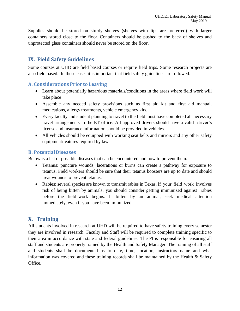Supplies should be stored on sturdy shelves (shelves with lips are preferred) with larger containers stored close to the floor. Containers should be pushed to the back of shelves and unprotected glass containers should never be stored on the floor.

## <span id="page-11-0"></span>**IX. Field Safety Guidelines**

Some courses at UHD are field based courses or require field trips. Some research projects are also field based. In these cases it is important that field safety guidelines are followed.

#### <span id="page-11-1"></span>**A. Considerations Prior to Leaving**

- Learn about potentially hazardous materials/conditions in the areas where field work will take place
- Assemble any needed safety provisions such as first aid kit and first aid manual, medications, allergy treatments, vehicle emergency kits.
- Every faculty and student planning to travel to the field must have completed all necessary travel arrangements in the ET office. All approved drivers should have a valid driver's license and insurance information should be provided in vehicles.
- All vehicles should be equipped with working seat belts and mirrors and any other safety equipment/features required by law.

#### <span id="page-11-2"></span>**B. PotentialDiseases**

Below is a list of possible diseases that can be encountered and how to prevent them.

- Tetanus: puncture wounds, lacerations or burns can create a pathway for exposure to tetanus. Field workers should be sure that their tetanus boosters are up to date and should treat wounds to prevent tetanus.
- Rabies: several species are known to transmit rabies in Texas. If your field work involves risk of being bitten by animals, you should consider getting immunized against rabies before the field work begins. If bitten by an animal, seek medical attention immediately, even if you have been immunized.

## <span id="page-11-3"></span>**X. Training**

All students involved in research at UHD will be required to have safety training every semester they are involved in research. Faculty and Staff will be required to complete training specific to their area in accordance with state and federal guidelines. The PI is responsible for ensuring all staff and students are properly trained by the Health and Safety Manager. The training of all staff and students shall be documented as to date, time, location, instructors name and what information was covered and these training records shall be maintained by the Health  $\&$  Safety Office.